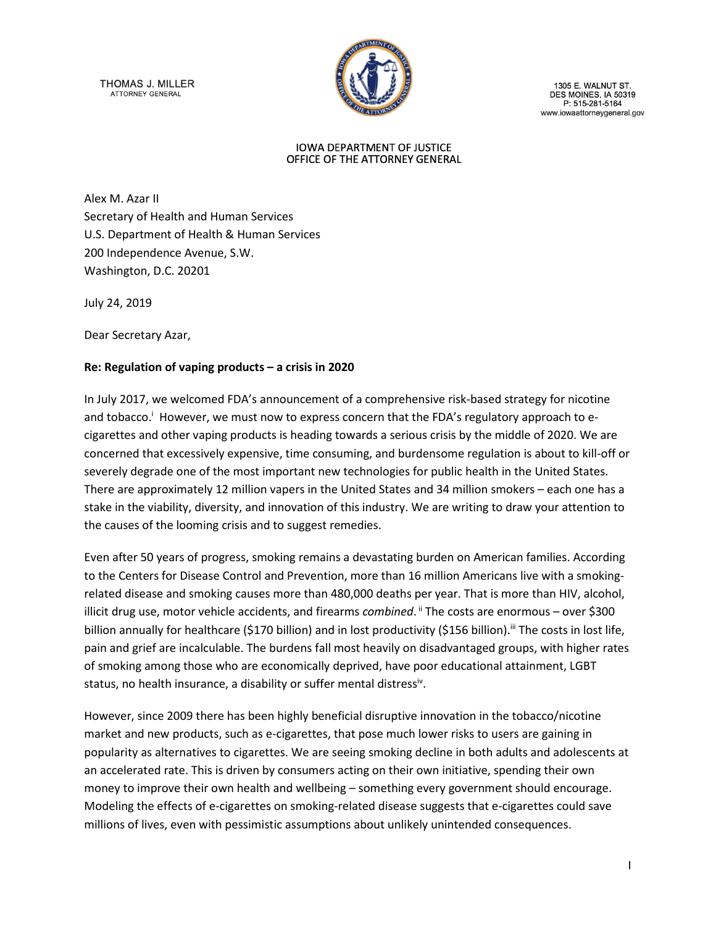THOMAS J. MILLER **ATTORNEY GENERAL** 



1305 E. WALNUT ST. DES MOINES, IA 50319<br>P: 515-281-5164 www.iowaattorneygeneral.gov

#### **IOWA DEPARTMENT OF JUSTICE** OFFICE OF THE ATTORNEY GENERAL

Alex M. Azar II Secretary of Health and Human Services U.S. Department of Health & Human Services 200 Independence Avenue, S.W. Washington, D.C. 20201

July 24, 2019

Dear Secretary Azar,

### **Re: Regulation of vaping products – a crisis in 2020**

In July 2017, we welcomed FDA's announcement of a comprehensive risk-based strategy for nicotine and tobacco.<sup>i</sup> However, we must now to express concern that the FDA's regulatory approach to ecigarettes and other vaping products is heading towards a serious crisis by the middle of 2020. We are concerned that excessively expensive, time consuming, and burdensome regulation is about to kill-off or severely degrade one of the most important new technologies for public health in the United States. There are approximately 12 million vapers in the United States and 34 million smokers – each one has a stake in the viability, diversity, and innovation of this industry. We are writing to draw your attention to the causes of the looming crisis and to suggest remedies.

Even after 50 years of progress, smoking remains a devastating burden on American families. According to the Centers for Disease Control and Prevention, more than 16 million Americans live with a smokingrelated disease and smoking causes more than 480,000 deaths per year. That is more than HIV, alcohol, illicit drug use, motor vehicle accidents, and firearms *combined*. <sup>"</sup> The costs are enormous – over \$300 billion annually for healthcare (\$170 billion) and in lost productivity (\$156 billion).<sup>iii</sup> The costs in lost life, pain and grief are incalculable. The burdens fall most heavily on disadvantaged groups, with higher rates of smoking among those who are economically deprived, have poor educational attainment, LGBT status, no health insurance, a disability or suffer mental distress<sup>iv</sup>.

However, since 2009 there has been highly beneficial disruptive innovation in the tobacco/nicotine market and new products, such as e-cigarettes, that pose much lower risks to users are gaining in popularity as alternatives to cigarettes. We are seeing smoking decline in both adults and adolescents at an accelerated rate. This is driven by consumers acting on their own initiative, spending their own money to improve their own health and wellbeing – something every government should encourage. Modeling the effects of e-cigarettes on smoking-related disease suggests that e-cigarettes could save millions of lives, even with pessimistic assumptions about unlikely unintended consequences.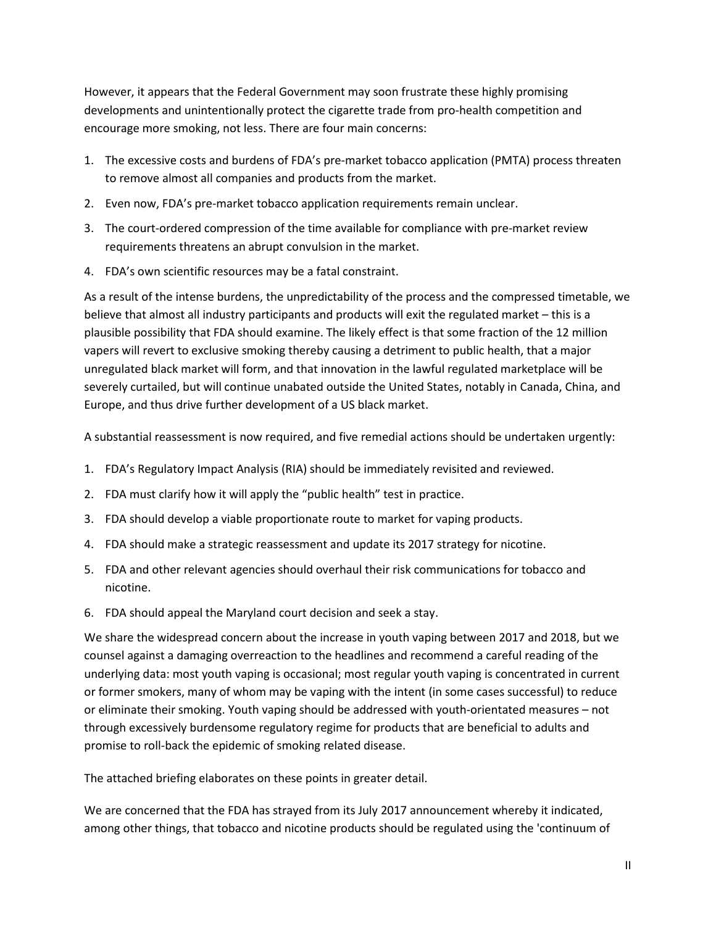However, it appears that the Federal Government may soon frustrate these highly promising developments and unintentionally protect the cigarette trade from pro-health competition and encourage more smoking, not less. There are four main concerns:

- 1. The excessive costs and burdens of FDA's pre-market tobacco application (PMTA) process threaten to remove almost all companies and products from the market.
- 2. Even now, FDA's pre-market tobacco application requirements remain unclear.
- 3. The court-ordered compression of the time available for compliance with pre-market review requirements threatens an abrupt convulsion in the market.
- 4. FDA's own scientific resources may be a fatal constraint.

As a result of the intense burdens, the unpredictability of the process and the compressed timetable, we believe that almost all industry participants and products will exit the regulated market – this is a plausible possibility that FDA should examine. The likely effect is that some fraction of the 12 million vapers will revert to exclusive smoking thereby causing a detriment to public health, that a major unregulated black market will form, and that innovation in the lawful regulated marketplace will be severely curtailed, but will continue unabated outside the United States, notably in Canada, China, and Europe, and thus drive further development of a US black market.

A substantial reassessment is now required, and five remedial actions should be undertaken urgently:

- 1. FDA's Regulatory Impact Analysis (RIA) should be immediately revisited and reviewed.
- 2. FDA must clarify how it will apply the "public health" test in practice.
- 3. FDA should develop a viable proportionate route to market for vaping products.
- 4. FDA should make a strategic reassessment and update its 2017 strategy for nicotine.
- 5. FDA and other relevant agencies should overhaul their risk communications for tobacco and nicotine.
- 6. FDA should appeal the Maryland court decision and seek a stay.

We share the widespread concern about the increase in youth vaping between 2017 and 2018, but we counsel against a damaging overreaction to the headlines and recommend a careful reading of the underlying data: most youth vaping is occasional; most regular youth vaping is concentrated in current or former smokers, many of whom may be vaping with the intent (in some cases successful) to reduce or eliminate their smoking. Youth vaping should be addressed with youth-orientated measures – not through excessively burdensome regulatory regime for products that are beneficial to adults and promise to roll-back the epidemic of smoking related disease.

The attached briefing elaborates on these points in greater detail.

We are concerned that the FDA has strayed from its July 2017 announcement whereby it indicated, among other things, that tobacco and nicotine products should be regulated using the 'continuum of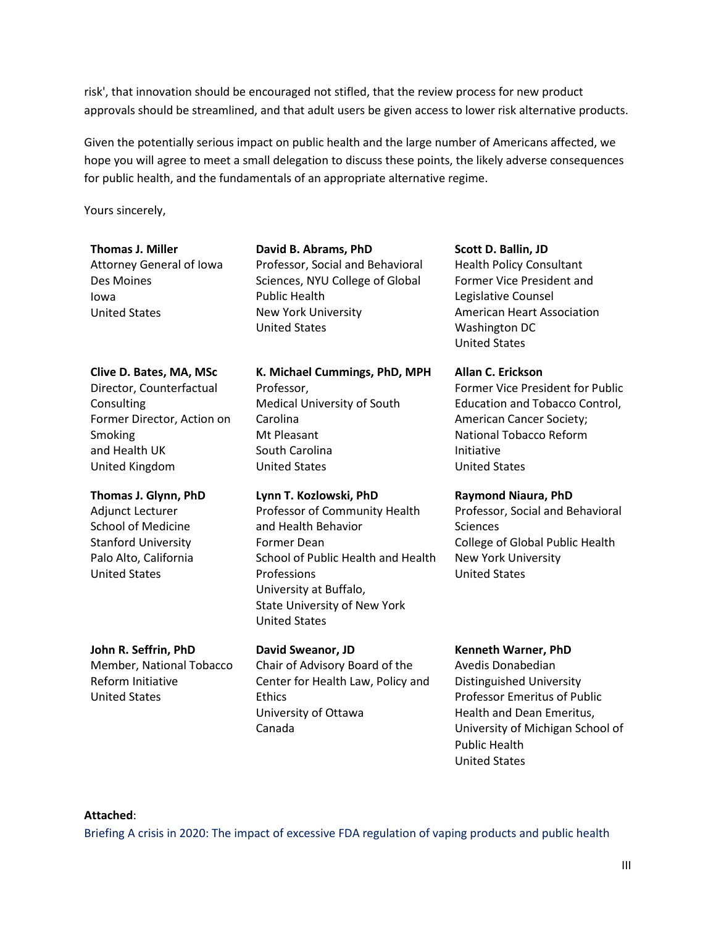risk', that innovation should be encouraged not stifled, that the review process for new product approvals should be streamlined, and that adult users be given access to lower risk alternative products.

Given the potentially serious impact on public health and the large number of Americans affected, we hope you will agree to meet a small delegation to discuss these points, the likely adverse consequences for public health, and the fundamentals of an appropriate alternative regime.

Yours sincerely,

Attorney General of Iowa Des Moines Iowa United States

**David B. Abrams, PhD**

Professor, Social and Behavioral Sciences, NYU College of Global Public Health New York University United States

#### **Clive D. Bates, MA, MSc**

Director, Counterfactual **Consulting** Former Director, Action on Smoking and Health UK United Kingdom

#### **Thomas J. Glynn, PhD** Adjunct Lecturer

School of Medicine Stanford University Palo Alto, California United States

**K. Michael Cummings, PhD, MPH** Professor, Medical University of South Carolina Mt Pleasant South Carolina United States

#### **Lynn T. Kozlowski, PhD** Professor of Community Health and Health Behavior Former Dean School of Public Health and Health Professions University at Buffalo, State University of New York United States

**John R. Seffrin, PhD** Member, National Tobacco Reform Initiative United States

**David Sweanor, JD** Chair of Advisory Board of the Center for Health Law, Policy and Ethics University of Ottawa Canada

**Scott D. Ballin, JD**

Health Policy Consultant Former Vice President and Legislative Counsel American Heart Association Washington DC United States

#### **Allan C. Erickson**

Former Vice President for Public Education and Tobacco Control, American Cancer Society; National Tobacco Reform Initiative United States

#### **Raymond Niaura, PhD**

Professor, Social and Behavioral **Sciences** College of Global Public Health New York University United States

#### **Kenneth Warner, PhD**

Avedis Donabedian Distinguished University Professor Emeritus of Public Health and Dean Emeritus, University of Michigan School of Public Health United States

#### **Attached**:

[Briefing A crisis in 2020: The impact of excessive FDA regulation of vaping products and public health](#page-5-0)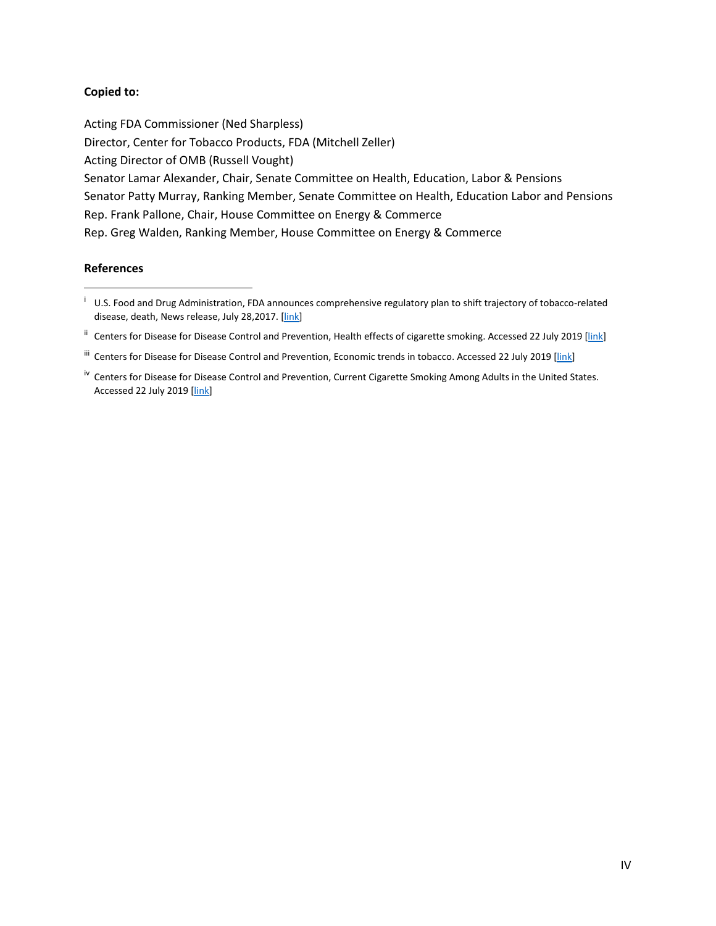#### **Copied to:**

Acting FDA Commissioner (Ned Sharpless) Director, Center for Tobacco Products, FDA (Mitchell Zeller) Acting Director of OMB (Russell Vought) Senator Lamar Alexander, Chair, Senate Committee on Health, Education, Labor & Pensions Senator Patty Murray, Ranking Member, Senate Committee on Health, Education Labor and Pensions Rep. Frank Pallone, Chair, House Committee on Energy & Commerce Rep. Greg Walden, Ranking Member, House Committee on Energy & Commerce

#### **References**

l

<sup>ii</sup> Centers for Disease for Disease Control and Prevention, Health effects of cigarette smoking. Accessed 22 July 2019 [\[link\]](https://www.cdc.gov/tobacco/data_statistics/fact_sheets/health_effects/effects_cig_smoking/index.htm)

<sup>&</sup>lt;sup>i</sup> U.S. Food and Drug Administration, FDA announces comprehensive regulatory plan to shift trajectory of tobacco-related disease, death, News release, July 28,2017. [\[link\]](https://www.fda.gov/NewsEvents/Newsroom/PressAnnouncements/ucm568923.htm)

iii Centers for Disease for Disease Control and Prevention, Economic trends in tobacco. Accessed 22 July 2019 [\[link\]](https://www.cdc.gov/tobacco/data_statistics/fact_sheets/economics/econ_facts/index.htm)

<sup>&</sup>lt;sup>iv</sup> Centers for Disease for Disease Control and Prevention, Current Cigarette Smoking Among Adults in the United States. Accessed 22 July 2019 [\[link\]](https://www.cdc.gov/tobacco/data_statistics/fact_sheets/adult_data/cig_smoking/index.htm)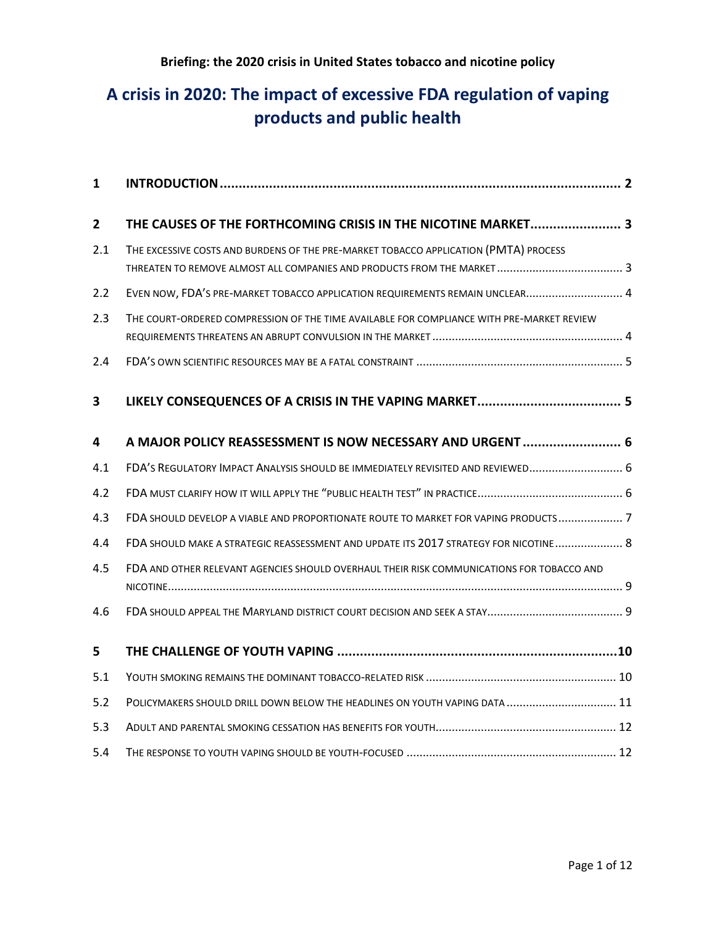# **A crisis in 2020: The impact of excessive FDA regulation of vaping products and public health**

| 1            |                                                                                           |
|--------------|-------------------------------------------------------------------------------------------|
| $\mathbf{2}$ | THE CAUSES OF THE FORTHCOMING CRISIS IN THE NICOTINE MARKET 3                             |
| 2.1          | THE EXCESSIVE COSTS AND BURDENS OF THE PRE-MARKET TOBACCO APPLICATION (PMTA) PROCESS      |
| 2.2          | EVEN NOW, FDA'S PRE-MARKET TOBACCO APPLICATION REQUIREMENTS REMAIN UNCLEAR 4              |
| 2.3          | THE COURT-ORDERED COMPRESSION OF THE TIME AVAILABLE FOR COMPLIANCE WITH PRE-MARKET REVIEW |
| 2.4          |                                                                                           |
| 3            |                                                                                           |
| 4            | A MAJOR POLICY REASSESSMENT IS NOW NECESSARY AND URGENT  6                                |
| 4.1          | FDA'S REGULATORY IMPACT ANALYSIS SHOULD BE IMMEDIATELY REVISITED AND REVIEWED 6           |
| 4.2          |                                                                                           |
| 4.3          | FDA SHOULD DEVELOP A VIABLE AND PROPORTIONATE ROUTE TO MARKET FOR VAPING PRODUCTS 7       |
| 4.4          | FDA SHOULD MAKE A STRATEGIC REASSESSMENT AND UPDATE ITS 2017 STRATEGY FOR NICOTINE 8      |
| 4.5          | FDA AND OTHER RELEVANT AGENCIES SHOULD OVERHAUL THEIR RISK COMMUNICATIONS FOR TOBACCO AND |
| 4.6          |                                                                                           |
| 5            |                                                                                           |
| 5.1          |                                                                                           |
| 5.2          | POLICYMAKERS SHOULD DRILL DOWN BELOW THE HEADLINES ON YOUTH VAPING DATA  11               |
| 5.3          |                                                                                           |
| 5.4          |                                                                                           |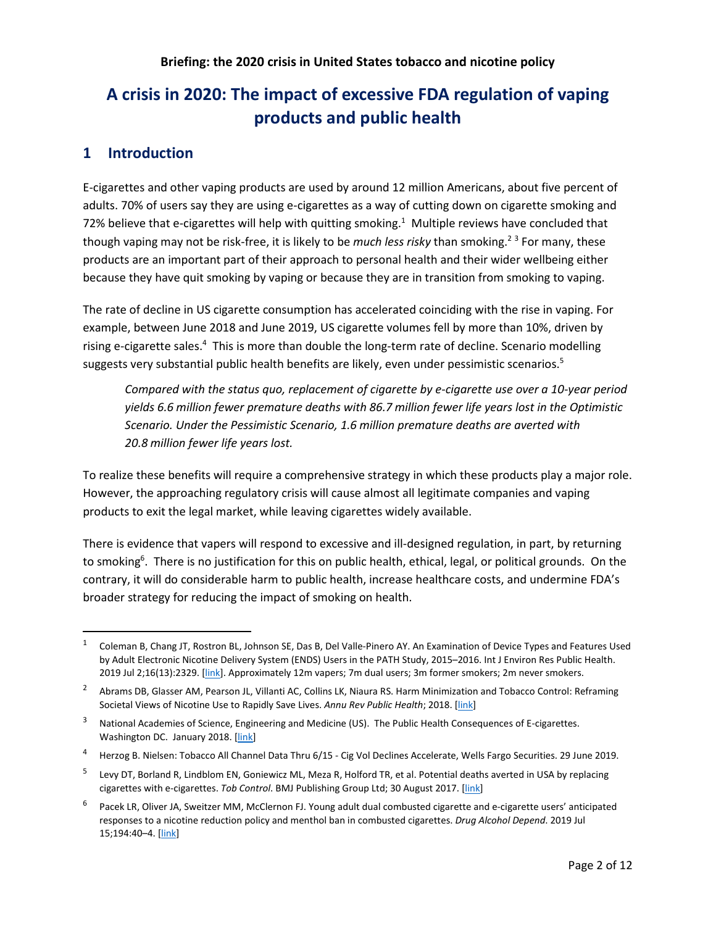# <span id="page-5-0"></span>**A crisis in 2020: The impact of excessive FDA regulation of vaping products and public health**

# <span id="page-5-1"></span>**1 Introduction**

E-cigarettes and other vaping products are used by around 12 million Americans, about five percent of adults. 70% of users say they are using e-cigarettes as a way of cutting down on cigarette smoking and 72% believe that e-cigarettes will help with quitting smoking.<sup>1</sup> Multiple reviews have concluded that though vaping may not be risk-free, it is likely to be *much less risky* than smoking. <sup>2</sup> <sup>3</sup> For many, these products are an important part of their approach to personal health and their wider wellbeing either because they have quit smoking by vaping or because they are in transition from smoking to vaping.

The rate of decline in US cigarette consumption has accelerated coinciding with the rise in vaping. For example, between June 2018 and June 2019, US cigarette volumes fell by more than 10%, driven by rising e-cigarette sales.<sup>4</sup> This is more than double the long-term rate of decline. Scenario modelling suggests very substantial public health benefits are likely, even under pessimistic scenarios.<sup>5</sup>

*Compared with the status quo, replacement of cigarette by e-cigarette use over a 10-year period yields 6.6 million fewer premature deaths with 86.7 million fewer life years lost in the Optimistic Scenario. Under the Pessimistic Scenario, 1.6 million premature deaths are averted with 20.8 million fewer life years lost.*

To realize these benefits will require a comprehensive strategy in which these products play a major role. However, the approaching regulatory crisis will cause almost all legitimate companies and vaping products to exit the legal market, while leaving cigarettes widely available.

There is evidence that vapers will respond to excessive and ill-designed regulation, in part, by returning to smoking<sup>6</sup>. There is no justification for this on public health, ethical, legal, or political grounds. On the contrary, it will do considerable harm to public health, increase healthcare costs, and undermine FDA's broader strategy for reducing the impact of smoking on health.

 <sup>1</sup> Coleman B, Chang JT, Rostron BL, Johnson SE, Das B, Del Valle-Pinero AY. An Examination of Device Types and Features Used by Adult Electronic Nicotine Delivery System (ENDS) Users in the PATH Study, 2015–2016. Int J Environ Res Public Health. 2019 Jul 2;16(13):2329. [\[link\]](https://www.mdpi.com/1660-4601/16/13/2329/htm). Approximately 12m vapers; 7m dual users; 3m former smokers; 2m never smokers.

<sup>&</sup>lt;sup>2</sup> Abrams DB, Glasser AM, Pearson JL, Villanti AC, Collins LK, Niaura RS. Harm Minimization and Tobacco Control: Reframing Societal Views of Nicotine Use to Rapidly Save Lives. *Annu Rev Public Health*; 2018. [\[link\]](http://www.annualreviews.org/doi/10.1146/annurev-publhealth-040617-013849)

<sup>3</sup> National Academies of Science, Engineering and Medicine (US). The Public Health Consequences of E-cigarettes. Washington DC. January 2018. [\[link\]](http://nationalacademies.org/hmd/reports/2018/public-health-consequences-of-e-cigarettes.aspx)

<sup>4</sup> Herzog B. Nielsen: Tobacco All Channel Data Thru 6/15 - Cig Vol Declines Accelerate, Wells Fargo Securities. 29 June 2019.

Levy DT, Borland R, Lindblom EN, Goniewicz ML, Meza R, Holford TR, et al. Potential deaths averted in USA by replacing cigarettes with e-cigarettes. *Tob Control*. BMJ Publishing Group Ltd; 30 August 2017. [\[link\]](http://tobaccocontrol.bmj.com/content/early/2017/08/30/tobaccocontrol-2017-053759?rss=1&hootPostID=14dfe76fb9cd8a063c9b509aa2075663)

<sup>&</sup>lt;sup>6</sup> Pacek LR, Oliver JA, Sweitzer MM, McClernon FJ. Young adult dual combusted cigarette and e-cigarette users' anticipated responses to a nicotine reduction policy and menthol ban in combusted cigarettes. *Drug Alcohol Depend*. 2019 Jul 15;194:40–4. [\[link\]](https://www.tandfonline.com/doi/full/10.1080/10826084.2019.1626435)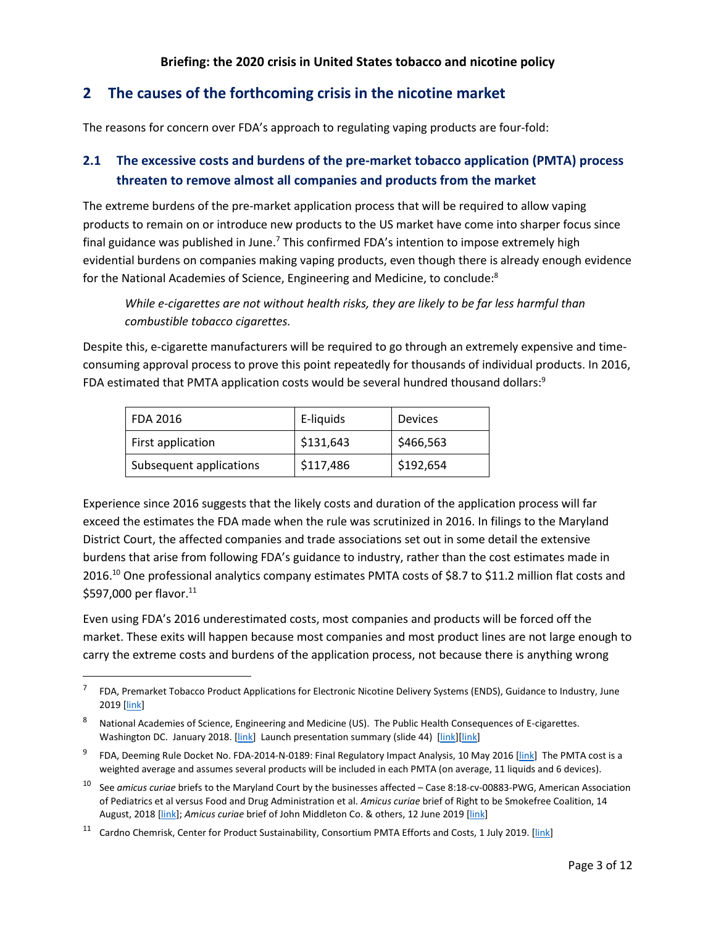# <span id="page-6-0"></span>**2 The causes of the forthcoming crisis in the nicotine market**

The reasons for concern over FDA's approach to regulating vaping products are four-fold:

# <span id="page-6-1"></span>**2.1 The excessive costs and burdens of the pre-market tobacco application (PMTA) process threaten to remove almost all companies and products from the market**

The extreme burdens of the pre-market application process that will be required to allow vaping products to remain on or introduce new products to the US market have come into sharper focus since final guidance was published in June.<sup>7</sup> This confirmed FDA's intention to impose extremely high evidential burdens on companies making vaping products, even though there is already enough evidence for the National Academies of Science, Engineering and Medicine, to conclude:<sup>8</sup>

*While e-cigarettes are not without health risks, they are likely to be far less harmful than combustible tobacco cigarettes.*

Despite this, e-cigarette manufacturers will be required to go through an extremely expensive and timeconsuming approval process to prove this point repeatedly for thousands of individual products. In 2016, FDA estimated that PMTA application costs would be several hundred thousand dollars: $9$ 

| FDA 2016                | E-liquids | <b>Devices</b> |
|-------------------------|-----------|----------------|
| First application       | \$131,643 | \$466,563      |
| Subsequent applications | \$117,486 | \$192,654      |

Experience since 2016 suggests that the likely costs and duration of the application process will far exceed the estimates the FDA made when the rule was scrutinized in 2016. In filings to the Maryland District Court, the affected companies and trade associations set out in some detail the extensive burdens that arise from following FDA's guidance to industry, rather than the cost estimates made in 2016.<sup>10</sup> One professional analytics company estimates PMTA costs of \$8.7 to \$11.2 million flat costs and \$597,000 per flavor.<sup>11</sup>

Even using FDA's 2016 underestimated costs, most companies and products will be forced off the market. These exits will happen because most companies and most product lines are not large enough to carry the extreme costs and burdens of the application process, not because there is anything wrong

 $^7$  FDA, Premarket Tobacco Product Applications for Electronic Nicotine Delivery Systems (ENDS), Guidance to Industry, June 2019 [\[link\]](https://www.fda.gov/regulatory-information/search-fda-guidance-documents/premarket-tobacco-product-applications-electronic-nicotine-delivery-systems-ends)

<sup>8</sup> National Academies of Science, Engineering and Medicine (US). The Public Health Consequences of E-cigarettes. Washington DC. January 2018. [\[link\]](https://www.nap.edu/resource/24952/NASEM-E-Cigs-Webinar-Slides.pdf) Launch presentation summary (slide 44) [link][link]

<sup>9</sup> FDA, Deeming Rule Docket No. FDA-2014-N-0189: Final Regulatory Impact Analysis, 10 May 2016 [\[link\]](http://www.fda.gov/downloads/AboutFDA/ReportsManualsForms/Reports/EconomicAnalyses/UCM500254.pdf) The PMTA cost is a weighted average and assumes several products will be included in each PMTA (on average, 11 liquids and 6 devices).

<sup>10</sup> See *amicus curiae* briefs to the Maryland Court by the businesses affected – Case 8:18-cv-00883-PWG, American Association of Pediatrics et al versus Food and Drug Administration et al. *Amicus curiae* brief of Right to be Smokefree Coalition, 14 August, 2018 [\[link\]](https://www.khlaw.com/Files/36762_RSF_Amicus_Brief.pdf); *Amicus curiae* brief of John Middleton Co. & others, 12 June 2019 [\[link\]](https://tobacco.ucsf.edu/sites/tobacco.ucsf.edu/files/wysiwyg/Industry%20amicus%20brief.pdf)

<sup>&</sup>lt;sup>11</sup> Cardno Chemrisk, Center for Product Sustainability, Consortium PMTA Efforts and Costs, 1 July 2019. [\[link\]](https://www.clivebates.com/documents/PMTACostJuly2019.pdf)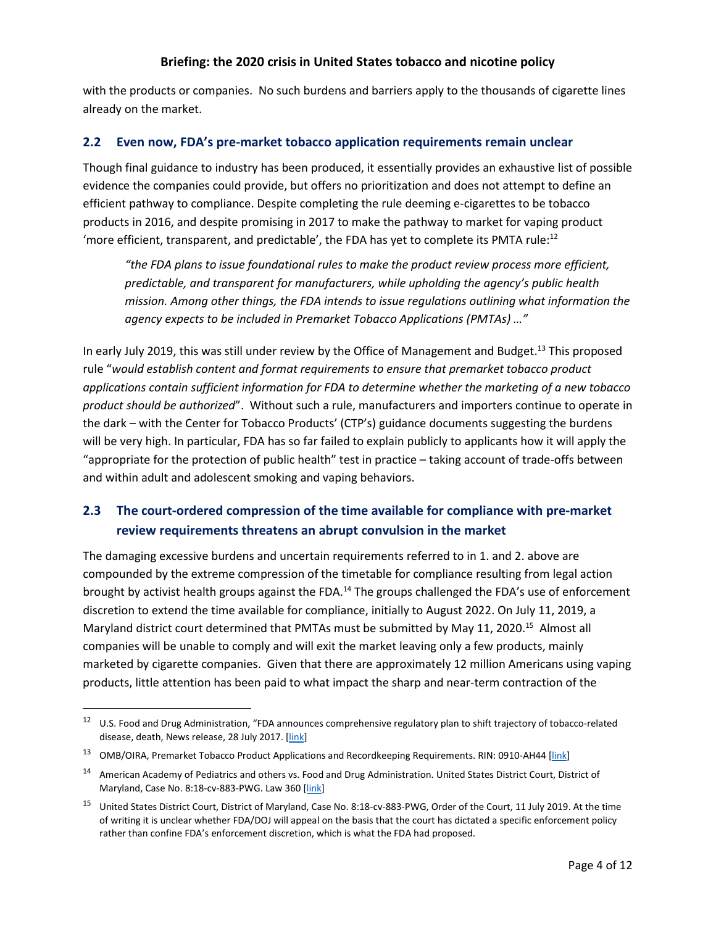with the products or companies. No such burdens and barriers apply to the thousands of cigarette lines already on the market.

### <span id="page-7-0"></span>**2.2 Even now, FDA's pre-market tobacco application requirements remain unclear**

Though final guidance to industry has been produced, it essentially provides an exhaustive list of possible evidence the companies could provide, but offers no prioritization and does not attempt to define an efficient pathway to compliance. Despite completing the rule deeming e-cigarettes to be tobacco products in 2016, and despite promising in 2017 to make the pathway to market for vaping product 'more efficient, transparent, and predictable', the FDA has yet to complete its PMTA rule:<sup>12</sup>

*"the FDA plans to issue foundational rules to make the product review process more efficient, predictable, and transparent for manufacturers, while upholding the agency's public health mission. Among other things, the FDA intends to issue regulations outlining what information the agency expects to be included in Premarket Tobacco Applications (PMTAs) …"*

In early July 2019, this was still under review by the Office of Management and Budget.<sup>13</sup> This proposed rule "*would establish content and format requirements to ensure that premarket tobacco product applications contain sufficient information for FDA to determine whether the marketing of a new tobacco product should be authorized*". Without such a rule, manufacturers and importers continue to operate in the dark – with the Center for Tobacco Products' (CTP's) guidance documents suggesting the burdens will be very high. In particular, FDA has so far failed to explain publicly to applicants how it will apply the "appropriate for the protection of public health" test in practice – taking account of trade-offs between and within adult and adolescent smoking and vaping behaviors.

# <span id="page-7-1"></span>**2.3 The court-ordered compression of the time available for compliance with pre-market review requirements threatens an abrupt convulsion in the market**

The damaging excessive burdens and uncertain requirements referred to in 1. and 2. above are compounded by the extreme compression of the timetable for compliance resulting from legal action brought by activist health groups against the FDA.<sup>14</sup> The groups challenged the FDA's use of enforcement discretion to extend the time available for compliance, initially to August 2022. On July 11, 2019, a Maryland district court determined that PMTAs must be submitted by May 11, 2020.<sup>15</sup> Almost all companies will be unable to comply and will exit the market leaving only a few products, mainly marketed by cigarette companies. Given that there are approximately 12 million Americans using vaping products, little attention has been paid to what impact the sharp and near-term contraction of the

 <sup>12</sup> U.S. Food and Drug Administration, "FDA announces comprehensive regulatory plan to shift trajectory of tobacco-related disease, death, News release, 28 July 2017. [\[link\]](https://www.fda.gov/NewsEvents/Newsroom/PressAnnouncements/ucm568923.htm)

<sup>&</sup>lt;sup>13</sup> OMB/OIRA, Premarket Tobacco Product Applications and Recordkeeping Requirements. RIN: 0910-AH44 [\[link\]](https://www.reginfo.gov/public/do/eAgendaViewRule?pubId=201904&RIN=0910-AH44)

<sup>&</sup>lt;sup>14</sup> American Academy of Pediatrics and others vs. Food and Drug Administration. United States District Court, District of Maryland, Case No. 8:18-cv-883-PWG. Law 360 [\[link\]](https://www.law360.com/cases/5aba6563edc2736624000001)

<sup>15</sup> United States District Court, District of Maryland, Case No. 8:18-cv-883-PWG, Order of the Court, 11 July 2019. At the time of writing it is unclear whether FDA/DOJ will appeal on the basis that the court has dictated a specific enforcement policy rather than confine FDA's enforcement discretion, which is what the FDA had proposed.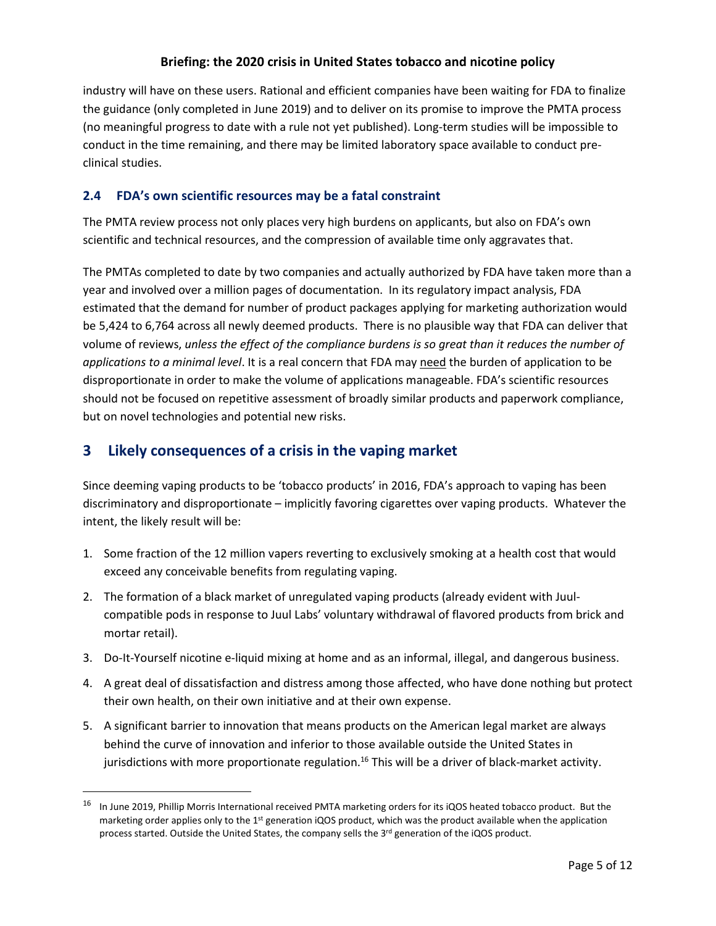industry will have on these users. Rational and efficient companies have been waiting for FDA to finalize the guidance (only completed in June 2019) and to deliver on its promise to improve the PMTA process (no meaningful progress to date with a rule not yet published). Long-term studies will be impossible to conduct in the time remaining, and there may be limited laboratory space available to conduct preclinical studies.

# <span id="page-8-0"></span>**2.4 FDA's own scientific resources may be a fatal constraint**

The PMTA review process not only places very high burdens on applicants, but also on FDA's own scientific and technical resources, and the compression of available time only aggravates that.

The PMTAs completed to date by two companies and actually authorized by FDA have taken more than a year and involved over a million pages of documentation. In its regulatory impact analysis, FDA estimated that the demand for number of product packages applying for marketing authorization would be 5,424 to 6,764 across all newly deemed products. There is no plausible way that FDA can deliver that volume of reviews, *unless the effect of the compliance burdens is so great than it reduces the number of applications to a minimal level*. It is a real concern that FDA may need the burden of application to be disproportionate in order to make the volume of applications manageable. FDA's scientific resources should not be focused on repetitive assessment of broadly similar products and paperwork compliance, but on novel technologies and potential new risks.

# <span id="page-8-1"></span>**3 Likely consequences of a crisis in the vaping market**

Since deeming vaping products to be 'tobacco products' in 2016, FDA's approach to vaping has been discriminatory and disproportionate – implicitly favoring cigarettes over vaping products. Whatever the intent, the likely result will be:

- 1. Some fraction of the 12 million vapers reverting to exclusively smoking at a health cost that would exceed any conceivable benefits from regulating vaping.
- 2. The formation of a black market of unregulated vaping products (already evident with Juulcompatible pods in response to Juul Labs' voluntary withdrawal of flavored products from brick and mortar retail).
- 3. Do-It-Yourself nicotine e-liquid mixing at home and as an informal, illegal, and dangerous business.
- 4. A great deal of dissatisfaction and distress among those affected, who have done nothing but protect their own health, on their own initiative and at their own expense.
- 5. A significant barrier to innovation that means products on the American legal market are always behind the curve of innovation and inferior to those available outside the United States in jurisdictions with more proportionate regulation.<sup>16</sup> This will be a driver of black-market activity.

<sup>&</sup>lt;sup>16</sup> In June 2019, Phillip Morris International received PMTA marketing orders for its iQOS heated tobacco product. But the marketing order applies only to the  $1<sup>st</sup>$  generation iQOS product, which was the product available when the application process started. Outside the United States, the company sells the 3<sup>rd</sup> generation of the iQOS product.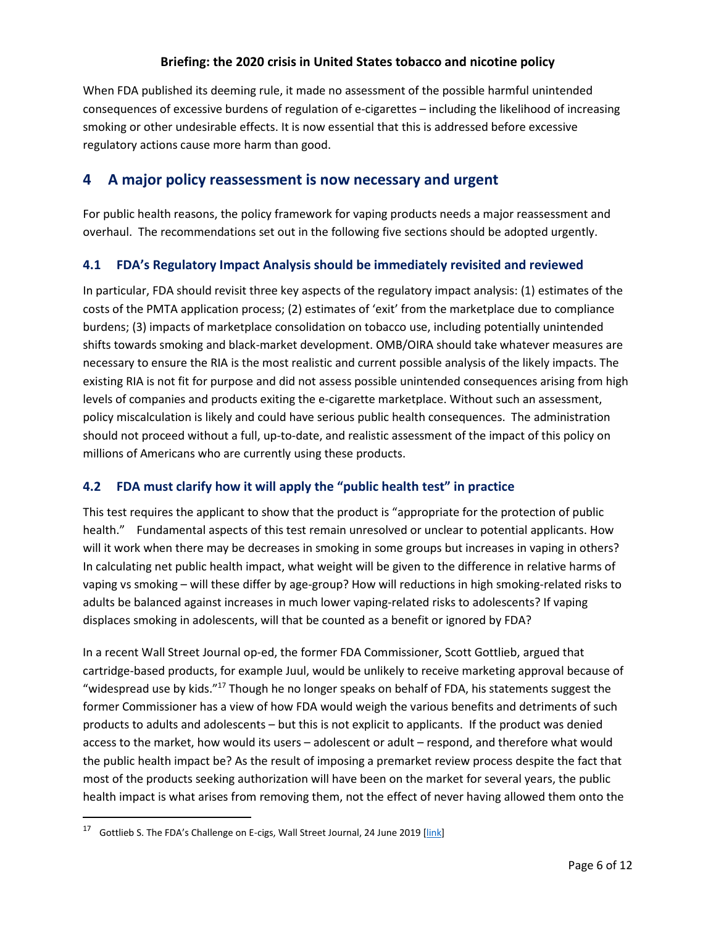When FDA published its deeming rule, it made no assessment of the possible harmful unintended consequences of excessive burdens of regulation of e-cigarettes – including the likelihood of increasing smoking or other undesirable effects. It is now essential that this is addressed before excessive regulatory actions cause more harm than good.

# <span id="page-9-0"></span>**4 A major policy reassessment is now necessary and urgent**

For public health reasons, the policy framework for vaping products needs a major reassessment and overhaul. The recommendations set out in the following five sections should be adopted urgently.

## <span id="page-9-1"></span>**4.1 FDA's Regulatory Impact Analysis should be immediately revisited and reviewed**

In particular, FDA should revisit three key aspects of the regulatory impact analysis: (1) estimates of the costs of the PMTA application process; (2) estimates of 'exit' from the marketplace due to compliance burdens; (3) impacts of marketplace consolidation on tobacco use, including potentially unintended shifts towards smoking and black-market development. OMB/OIRA should take whatever measures are necessary to ensure the RIA is the most realistic and current possible analysis of the likely impacts. The existing RIA is not fit for purpose and did not assess possible unintended consequences arising from high levels of companies and products exiting the e-cigarette marketplace. Without such an assessment, policy miscalculation is likely and could have serious public health consequences. The administration should not proceed without a full, up-to-date, and realistic assessment of the impact of this policy on millions of Americans who are currently using these products.

# <span id="page-9-2"></span>**4.2 FDA must clarify how it will apply the "public health test" in practice**

This test requires the applicant to show that the product is "appropriate for the protection of public health." Fundamental aspects of this test remain unresolved or unclear to potential applicants. How will it work when there may be decreases in smoking in some groups but increases in vaping in others? In calculating net public health impact, what weight will be given to the difference in relative harms of vaping vs smoking – will these differ by age-group? How will reductions in high smoking-related risks to adults be balanced against increases in much lower vaping-related risks to adolescents? If vaping displaces smoking in adolescents, will that be counted as a benefit or ignored by FDA?

In a recent Wall Street Journal op-ed, the former FDA Commissioner, Scott Gottlieb, argued that cartridge-based products, for example Juul, would be unlikely to receive marketing approval because of "widespread use by kids."17 Though he no longer speaks on behalf of FDA, his statements suggest the former Commissioner has a view of how FDA would weigh the various benefits and detriments of such products to adults and adolescents – but this is not explicit to applicants. If the product was denied access to the market, how would its users – adolescent or adult – respond, and therefore what would the public health impact be? As the result of imposing a premarket review process despite the fact that most of the products seeking authorization will have been on the market for several years, the public health impact is what arises from removing them, not the effect of never having allowed them onto the

<sup>&</sup>lt;sup>17</sup> Gottlieb S. The FDA's Challenge on E-cigs, Wall Street Journal, 24 June 2019 [\[link\]](https://www.wsj.com/articles/the-fdas-challenge-on-e-cigs-11561415893)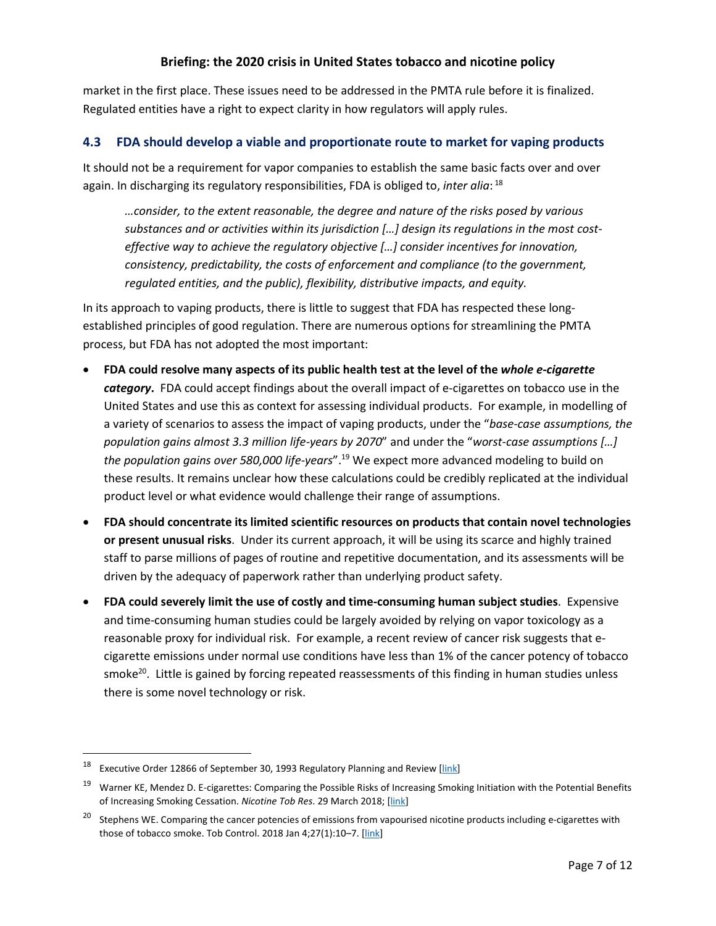market in the first place. These issues need to be addressed in the PMTA rule before it is finalized. Regulated entities have a right to expect clarity in how regulators will apply rules.

### <span id="page-10-0"></span>**4.3 FDA should develop a viable and proportionate route to market for vaping products**

It should not be a requirement for vapor companies to establish the same basic facts over and over again. In discharging its regulatory responsibilities, FDA is obliged to, *inter alia*: <sup>18</sup>

*…consider, to the extent reasonable, the degree and nature of the risks posed by various substances and or activities within its jurisdiction […] design its regulations in the most costeffective way to achieve the regulatory objective […] consider incentives for innovation, consistency, predictability, the costs of enforcement and compliance (to the government, regulated entities, and the public), flexibility, distributive impacts, and equity.*

In its approach to vaping products, there is little to suggest that FDA has respected these longestablished principles of good regulation. There are numerous options for streamlining the PMTA process, but FDA has not adopted the most important:

- **FDA could resolve many aspects of its public health test at the level of the** *whole e-cigarette category***.** FDA could accept findings about the overall impact of e-cigarettes on tobacco use in the United States and use this as context for assessing individual products. For example, in modelling of a variety of scenarios to assess the impact of vaping products, under the "*base-case assumptions, the population gains almost 3.3 million life-years by 2070*" and under the "*worst-case assumptions […] the population gains over 580,000 life-years*".19 We expect more advanced modeling to build on these results. It remains unclear how these calculations could be credibly replicated at the individual product level or what evidence would challenge their range of assumptions.
- **FDA should concentrate its limited scientific resources on products that contain novel technologies or present unusual risks**. Under its current approach, it will be using its scarce and highly trained staff to parse millions of pages of routine and repetitive documentation, and its assessments will be driven by the adequacy of paperwork rather than underlying product safety.
- **FDA could severely limit the use of costly and time-consuming human subject studies**. Expensive and time-consuming human studies could be largely avoided by relying on vapor toxicology as a reasonable proxy for individual risk. For example, a recent review of cancer risk suggests that ecigarette emissions under normal use conditions have less than 1% of the cancer potency of tobacco smoke<sup>20</sup>. Little is gained by forcing repeated reassessments of this finding in human studies unless there is some novel technology or risk.

Executive Order 12866 of September 30, 1993 Regulatory Planning and Review [\[link\]](https://www.reginfo.gov/public/jsp/Utilities/EO_12866.pdf)

<sup>&</sup>lt;sup>19</sup> Warner KE, Mendez D. E-cigarettes: Comparing the Possible Risks of Increasing Smoking Initiation with the Potential Benefits of Increasing Smoking Cessation. *Nicotine Tob Res*. 29 March 2018; [\[link\]](https://academic.oup.com/ntr/advance-article-abstract/doi/10.1093/ntr/nty062/4956222?redirectedFrom=fulltext)

<sup>&</sup>lt;sup>20</sup> Stephens WE. Comparing the cancer potencies of emissions from vapourised nicotine products including e-cigarettes with those of tobacco smoke. Tob Control. 2018 Jan 4;27(1):10–7. [\[link\]](https://tobaccocontrol.bmj.com/content/27/1/10)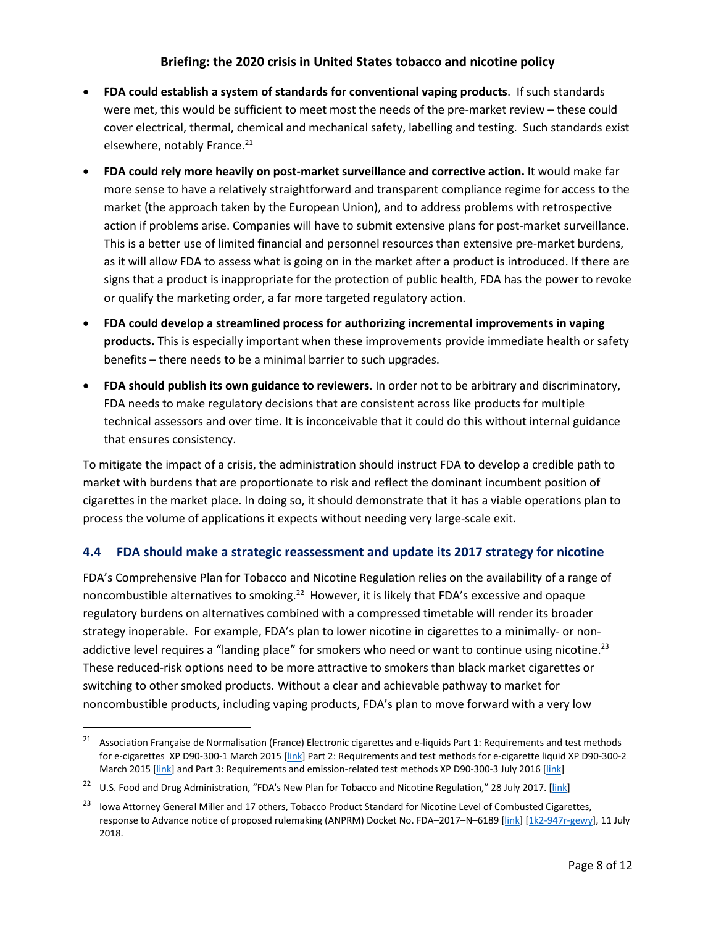- **FDA could establish a system of standards for conventional vaping products**. If such standards were met, this would be sufficient to meet most the needs of the pre-market review – these could cover electrical, thermal, chemical and mechanical safety, labelling and testing. Such standards exist elsewhere, notably France.<sup>21</sup>
- **FDA could rely more heavily on post-market surveillance and corrective action.** It would make far more sense to have a relatively straightforward and transparent compliance regime for access to the market (the approach taken by the European Union), and to address problems with retrospective action if problems arise. Companies will have to submit extensive plans for post-market surveillance. This is a better use of limited financial and personnel resources than extensive pre-market burdens, as it will allow FDA to assess what is going on in the market after a product is introduced. If there are signs that a product is inappropriate for the protection of public health, FDA has the power to revoke or qualify the marketing order, a far more targeted regulatory action.
- **FDA could develop a streamlined process for authorizing incremental improvements in vaping products.** This is especially important when these improvements provide immediate health or safety benefits – there needs to be a minimal barrier to such upgrades.
- **FDA should publish its own guidance to reviewers**. In order not to be arbitrary and discriminatory, FDA needs to make regulatory decisions that are consistent across like products for multiple technical assessors and over time. It is inconceivable that it could do this without internal guidance that ensures consistency.

To mitigate the impact of a crisis, the administration should instruct FDA to develop a credible path to market with burdens that are proportionate to risk and reflect the dominant incumbent position of cigarettes in the market place. In doing so, it should demonstrate that it has a viable operations plan to process the volume of applications it expects without needing very large-scale exit.

### <span id="page-11-0"></span>**4.4 FDA should make a strategic reassessment and update its 2017 strategy for nicotine**

FDA's Comprehensive Plan for Tobacco and Nicotine Regulation relies on the availability of a range of noncombustible alternatives to smoking.<sup>22</sup> However, it is likely that FDA's excessive and opaque regulatory burdens on alternatives combined with a compressed timetable will render its broader strategy inoperable. For example, FDA's plan to lower nicotine in cigarettes to a minimally- or nonaddictive level requires a "landing place" for smokers who need or want to continue using nicotine.<sup>23</sup> These reduced-risk options need to be more attractive to smokers than black market cigarettes or switching to other smoked products. Without a clear and achievable pathway to market for noncombustible products, including vaping products, FDA's plan to move forward with a very low

<sup>&</sup>lt;sup>21</sup> Association Française de Normalisation (France) Electronic cigarettes and e-liquids Part 1: Requirements and test methods for e-cigarettes XP D90-300-1 March 2015 [\[link\]](https://www.boutique.afnor.org/norme/xp-d90-300-1/cigarettes-electroniques-et-e-liquides-partie-1-exigences-et-methodes-d-essai-relatives-aux-cigarettes-electroniques/article/823264/fa059565) Part 2: Requirements and test methods for e-cigarette liquid XP D90-300-2 March 2015 [\[link\]](https://www.boutique.afnor.org/norme/xp-d90-300-3/cigarettes-electroniques-et-e-liquides-partie-3-exigences-et-methodes-d-essais-relatives-aux-emissions/article/868678/fa186224) and Part 3: Requirements and emission-related test methods XP D90-300-3 July 2016 [link]

<sup>&</sup>lt;sup>22</sup> U.S. Food and Drug Administration, "FDA's New Plan for Tobacco and Nicotine Regulation," 28 July 2017. [\[link\]](https://www.fda.gov/TobaccoProducts/NewsEvents/ucm568425.htm)

<sup>&</sup>lt;sup>23</sup> Iowa Attorney General Miller and 17 others, Tobacco Product Standard for Nicotine Level of Combusted Cigarettes, response to Advance notice of proposed rulemaking (ANPRM) Docket No. FDA-2017-N-6189 [\[link\]](https://www.iowaattorneygeneral.gov/media/cms/Reduced_Nicotine_ANPRM_Response_180_5BB91F8E318CC.pdf) [\[1k2-947r-gewy\]](https://www.regulations.gov/document?D=FDA-2017-N-6189-6296), 11 July 2018.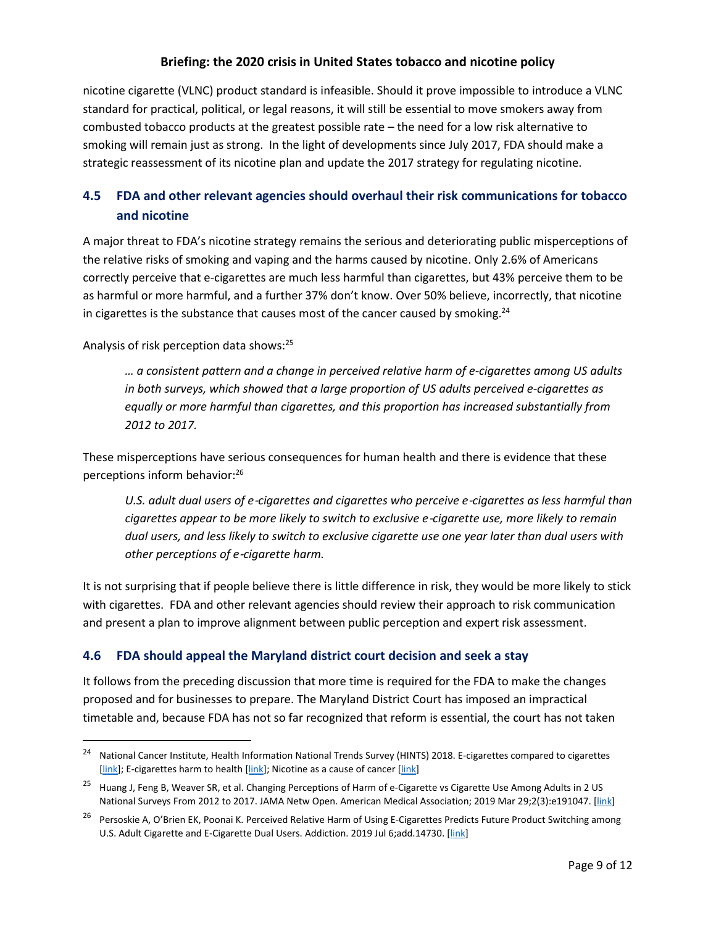nicotine cigarette (VLNC) product standard is infeasible. Should it prove impossible to introduce a VLNC standard for practical, political, or legal reasons, it will still be essential to move smokers away from combusted tobacco products at the greatest possible rate – the need for a low risk alternative to smoking will remain just as strong. In the light of developments since July 2017, FDA should make a strategic reassessment of its nicotine plan and update the 2017 strategy for regulating nicotine.

# <span id="page-12-0"></span>**4.5 FDA and other relevant agencies should overhaul their risk communications for tobacco and nicotine**

A major threat to FDA's nicotine strategy remains the serious and deteriorating public misperceptions of the relative risks of smoking and vaping and the harms caused by nicotine. Only 2.6% of Americans correctly perceive that e-cigarettes are much less harmful than cigarettes, but 43% perceive them to be as harmful or more harmful, and a further 37% don't know. Over 50% believe, incorrectly, that nicotine in cigarettes is the substance that causes most of the cancer caused by smoking. $24$ 

Analysis of risk perception data shows:25

*… a consistent pattern and a change in perceived relative harm of e-cigarettes among US adults in both surveys, which showed that a large proportion of US adults perceived e-cigarettes as equally or more harmful than cigarettes, and this proportion has increased substantially from 2012 to 2017.*

These misperceptions have serious consequences for human health and there is evidence that these perceptions inform behavior:26

*U.S. adult dual users of e*‐*cigarettes and cigarettes who perceive e*‐*cigarettes as less harmful than cigarettes appear to be more likely to switch to exclusive e*‐*cigarette use, more likely to remain dual users, and less likely to switch to exclusive cigarette use one year later than dual users with other perceptions of e*‐*cigarette harm.*

It is not surprising that if people believe there is little difference in risk, they would be more likely to stick with cigarettes. FDA and other relevant agencies should review their approach to risk communication and present a plan to improve alignment between public perception and expert risk assessment.

# <span id="page-12-1"></span>**4.6 FDA should appeal the Maryland district court decision and seek a stay**

It follows from the preceding discussion that more time is required for the FDA to make the changes proposed and for businesses to prepare. The Maryland District Court has imposed an impractical timetable and, because FDA has not so far recognized that reform is essential, the court has not taken

<sup>&</sup>lt;sup>24</sup> National Cancer Institute, Health Information National Trends Survey (HINTS) 2018. E-cigarettes compared to cigarettes [\[link\]](https://hints.cancer.gov/view-questions-topics/question-details.aspx?nq=1&qid=1514); E-cigarettes harm to health [link]; Nicotine as a cause of cancer [link]

<sup>&</sup>lt;sup>25</sup> Huang J, Feng B, Weaver SR, et al. Changing Perceptions of Harm of e-Cigarette vs Cigarette Use Among Adults in 2 US National Surveys From 2012 to 2017. JAMA Netw Open. American Medical Association; 2019 Mar 29;2(3):e191047. [\[link\]](https://jamanetwork.com/journals/jamanetworkopen/fullarticle/2729471)

<sup>&</sup>lt;sup>26</sup> Persoskie A, O'Brien EK, Poonai K. Perceived Relative Harm of Using E-Cigarettes Predicts Future Product Switching among U.S. Adult Cigarette and E-Cigarette Dual Users. Addiction. 2019 Jul 6;add.14730. [\[link\]](https://onlinelibrary.wiley.com/doi/abs/10.1111/add.14730)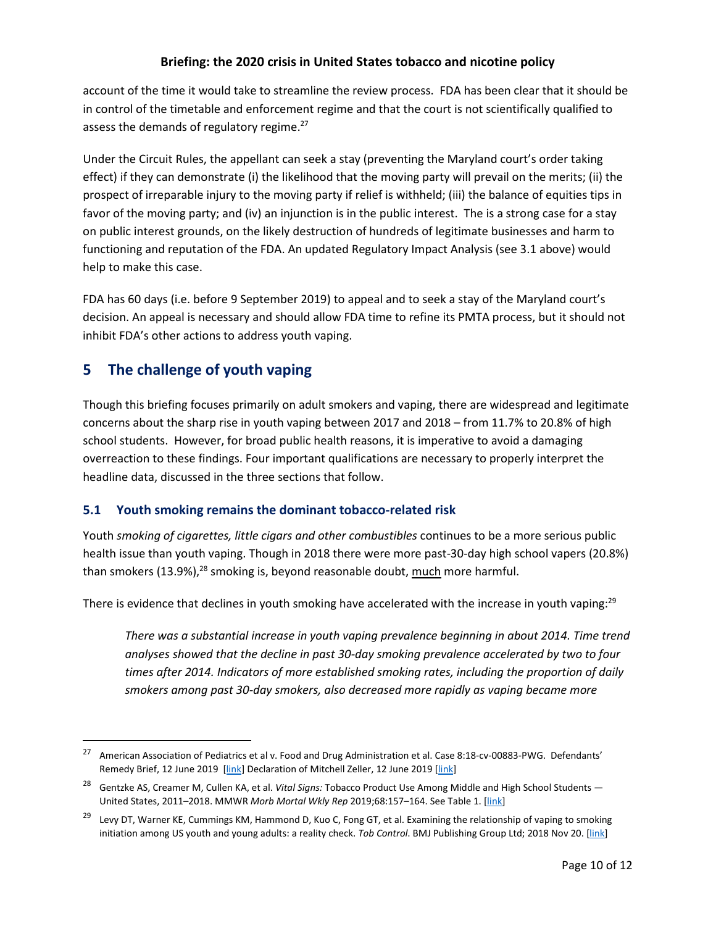account of the time it would take to streamline the review process. FDA has been clear that it should be in control of the timetable and enforcement regime and that the court is not scientifically qualified to assess the demands of regulatory regime. $27$ 

Under the Circuit Rules, the appellant can seek a stay (preventing the Maryland court's order taking effect) if they can demonstrate (i) the likelihood that the moving party will prevail on the merits; (ii) the prospect of irreparable injury to the moving party if relief is withheld; (iii) the balance of equities tips in favor of the moving party; and (iv) an injunction is in the public interest. The is a strong case for a stay on public interest grounds, on the likely destruction of hundreds of legitimate businesses and harm to functioning and reputation of the FDA. An updated Regulatory Impact Analysis (see [3.1](#page-9-1) above) would help to make this case.

FDA has 60 days (i.e. before 9 September 2019) to appeal and to seek a stay of the Maryland court's decision. An appeal is necessary and should allow FDA time to refine its PMTA process, but it should not inhibit FDA's other actions to address youth vaping.

# <span id="page-13-0"></span>**5 The challenge of youth vaping**

Though this briefing focuses primarily on adult smokers and vaping, there are widespread and legitimate concerns about the sharp rise in youth vaping between 2017 and 2018 – from 11.7% to 20.8% of high school students. However, for broad public health reasons, it is imperative to avoid a damaging overreaction to these findings. Four important qualifications are necessary to properly interpret the headline data, discussed in the three sections that follow.

# <span id="page-13-1"></span>**5.1 Youth smoking remains the dominant tobacco-related risk**

Youth *smoking of cigarettes, little cigars and other combustibles* continues to be a more serious public health issue than youth vaping. Though in 2018 there were more past-30-day high school vapers (20.8%) than smokers  $(13.9\%)$ ,<sup>28</sup> smoking is, beyond reasonable doubt, much more harmful.

There is evidence that declines in youth smoking have accelerated with the increase in youth vaping: $29$ 

*There was a substantial increase in youth vaping prevalence beginning in about 2014. Time trend analyses showed that the decline in past 30-day smoking prevalence accelerated by two to four times after 2014. Indicators of more established smoking rates, including the proportion of daily smokers among past 30-day smokers, also decreased more rapidly as vaping became more* 

<sup>&</sup>lt;sup>27</sup> American Association of Pediatrics et al v. Food and Drug Administration et al. Case 8:18-cv-00883-PWG. Defendants' Remedy Brief, 12 June 2019 [\[link\]](https://tobacco.ucsf.edu/sites/tobacco.ucsf.edu/files/wysiwyg/Zeller%20Declaration%2C%206-12-19.pdf) Declaration of Mitchell Zeller, 12 June 2019 [link]

<sup>28</sup> Gentzke AS, Creamer M, Cullen KA, et al. *Vital Signs:* Tobacco Product Use Among Middle and High School Students — United States, 2011–2018. MMWR *Morb Mortal Wkly Rep* 2019;68:157–164. See Table 1. [\[link\]](https://www.cdc.gov/mmwr/volumes/68/wr/mm6806e1.htm#T1_down)

<sup>&</sup>lt;sup>29</sup> Levy DT, Warner KE, Cummings KM, Hammond D, Kuo C, Fong GT, et al. Examining the relationship of vaping to smoking initiation among US youth and young adults: a reality check. *Tob Control*. BMJ Publishing Group Ltd; 2018 Nov 20. [\[link\]](https://tobaccocontrol.bmj.com/content/early/2018/10/31/tobaccocontrol-2018-054446)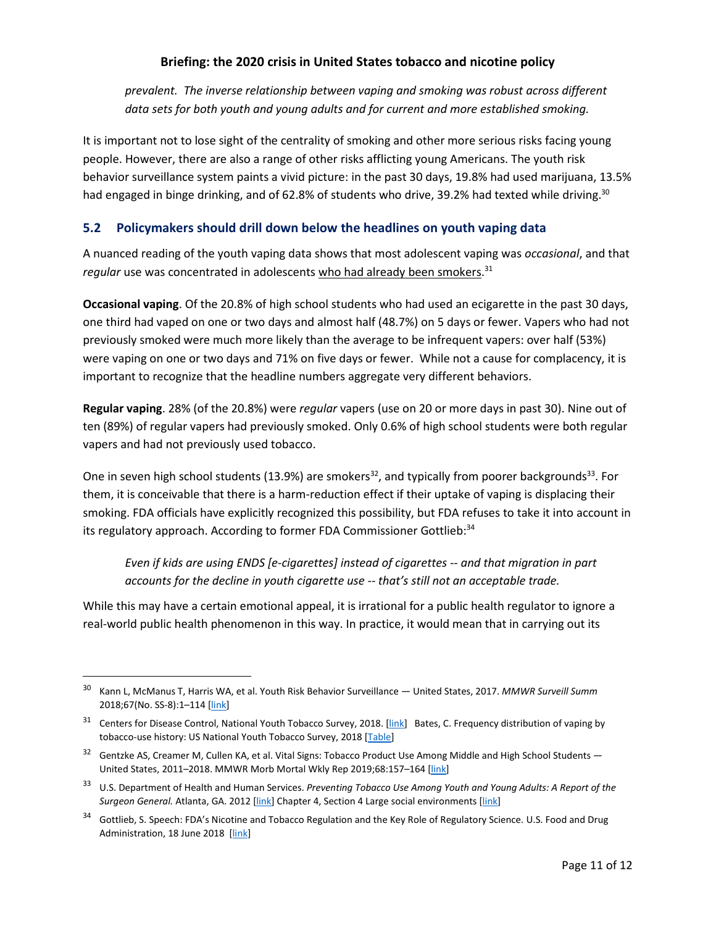*prevalent. The inverse relationship between vaping and smoking was robust across different data sets for both youth and young adults and for current and more established smoking.*

It is important not to lose sight of the centrality of smoking and other more serious risks facing young people. However, there are also a range of other risks afflicting young Americans. The youth risk behavior surveillance system paints a vivid picture: in the past 30 days, 19.8% had used marijuana, 13.5% had engaged in binge drinking, and of 62.8% of students who drive, 39.2% had texted while driving.<sup>30</sup>

# <span id="page-14-0"></span>**5.2 Policymakers should drill down below the headlines on youth vaping data**

A nuanced reading of the youth vaping data shows that most adolescent vaping was *occasional*, and that regular use was concentrated in adolescents who had already been smokers.<sup>31</sup>

**Occasional vaping**. Of the 20.8% of high school students who had used an ecigarette in the past 30 days, one third had vaped on one or two days and almost half (48.7%) on 5 days or fewer. Vapers who had not previously smoked were much more likely than the average to be infrequent vapers: over half (53%) were vaping on one or two days and 71% on five days or fewer. While not a cause for complacency, it is important to recognize that the headline numbers aggregate very different behaviors.

**Regular vaping**. 28% (of the 20.8%) were *regular* vapers (use on 20 or more days in past 30). Nine out of ten (89%) of regular vapers had previously smoked. Only 0.6% of high school students were both regular vapers and had not previously used tobacco.

One in seven high school students (13.9%) are smokers<sup>32</sup>, and typically from poorer backgrounds<sup>33</sup>. For them, it is conceivable that there is a harm-reduction effect if their uptake of vaping is displacing their smoking. FDA officials have explicitly recognized this possibility, but FDA refuses to take it into account in its regulatory approach. According to former FDA Commissioner Gottlieb:<sup>34</sup>

*Even if kids are using ENDS [e-cigarettes] instead of cigarettes -- and that migration in part accounts for the decline in youth cigarette use -- that's still not an acceptable trade.*

While this may have a certain emotional appeal, it is irrational for a public health regulator to ignore a real-world public health phenomenon in this way. In practice, it would mean that in carrying out its

 <sup>30</sup> Kann L, McManus T, Harris WA, et al. Youth Risk Behavior Surveillance — United States, 2017. *MMWR Surveill Summ* 2018;67(No. SS-8):1–114 [\[link\]](https://www.cdc.gov/mmwr/volumes/67/ss/ss6708a1.htm)

<sup>&</sup>lt;sup>31</sup> Centers for Disease Control, National Youth Tobacco Survey, 2018. [\[link\]](https://www.cdc.gov/tobacco/data_statistics/surveys/nyts/index.htm) Bates, C. Frequency distribution of vaping by tobacco-use history: US National Youth Tobacco Survey, 2018 [\[Table\]](https://docs.google.com/spreadsheets/d/e/2PACX-1vSnmsRY3NOuAc2B4etieuvmGyZMqrCchKqFnzlwueuUyGPiz8_b2emOSBVP1DNFjk9maDbu7SU_mkG0/pubhtml)

 $32$  Gentzke AS, Creamer M, Cullen KA, et al. Vital Signs: Tobacco Product Use Among Middle and High School Students  $-$ United States, 2011–2018. MMWR Morb Mortal Wkly Rep 2019;68:157–164 [\[link\]](https://www.cdc.gov/mmwr/volumes/68/wr/mm6806e1.htm)

<sup>33</sup> U.S. Department of Health and Human Services. *Preventing Tobacco Use Among Youth and Young Adults: A Report of the Surgeon General.* Atlanta, GA. 2012 [\[link\]](https://www.ncbi.nlm.nih.gov/books/NBK99236/#_ch4_s4_) Chapter 4, Section 4 Large social environments [link]

<sup>&</sup>lt;sup>34</sup> Gottlieb, S. Speech: FDA's Nicotine and Tobacco Regulation and the Key Role of Regulatory Science. U.S. Food and Drug Administration, 18 June 2018 [\[link\]](https://www.fda.gov/news-events/speeches-fda-officials/fdas-nicotine-and-tobacco-regulation-and-key-role-regulatory-science-06182018)